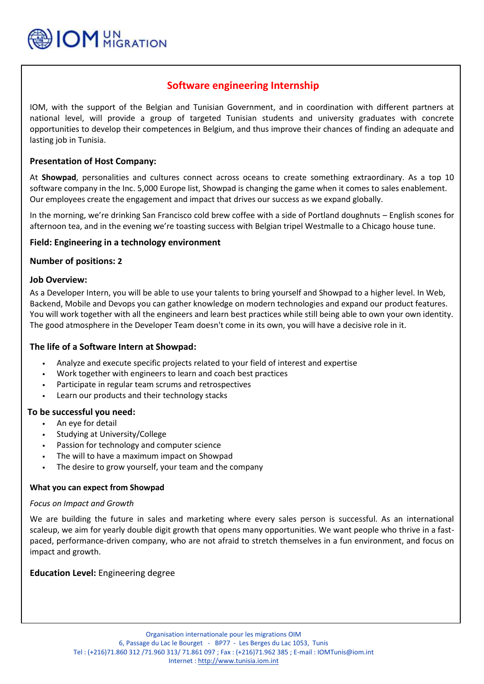

# **Software engineering Internship**

IOM, with the support of the Belgian and Tunisian Government, and in coordination with different partners at national level, will provide a group of targeted Tunisian students and university graduates with concrete opportunities to develop their competences in Belgium, and thus improve their chances of finding an adequate and lasting job in Tunisia.

## **Presentation of Host Company:**

 software company in the Inc. 5,000 Europe list, Showpad is changing the game when it comes to sales enablement. At **Showpad**, personalities and cultures connect across oceans to create something extraordinary. As a top 10 Our employees create the engagement and impact that drives our success as we expand globally.

In the morning, we're drinking San Francisco cold brew coffee with a side of Portland doughnuts – English scones for afternoon tea, and in the evening we're toasting success with Belgian tripel Westmalle to a Chicago house tune.

## **Field: Engineering in a technology environment**

## **Number of positions: 2**

#### **Job Overview:**

As a Developer Intern, you will be able to use your talents to bring yourself and Showpad to a higher level. In Web, Backend, Mobile and Devops you can gather knowledge on modern technologies and expand our product features. You will work together with all the engineers and learn best practices while still being able to own your own identity. The good atmosphere in the Developer Team doesn't come in its own, you will have a decisive role in it.

## **The life of a Software Intern at Showpad:**

- Analyze and execute specific projects related to your field of interest and expertise
- Work together with engineers to learn and coach best practices
- Participate in regular team scrums and retrospectives
- Learn our products and their technology stacks

#### **To be successful you need:**

- An eye for detail
- Studying at University/College
- Passion for technology and computer science
- The will to have a maximum impact on Showpad
- The desire to grow yourself, your team and the company

#### **What you can expect from Showpad**

#### *Focus on Impact and Growth*

We are building the future in sales and marketing where every sales person is successful. As an international scaleup, we aim for yearly double digit growth that opens many opportunities. We want people who thrive in a fastpaced, performance-driven company, who are not afraid to stretch themselves in a fun environment, and focus on impact and growth.

## **Education Level:** Engineering degree